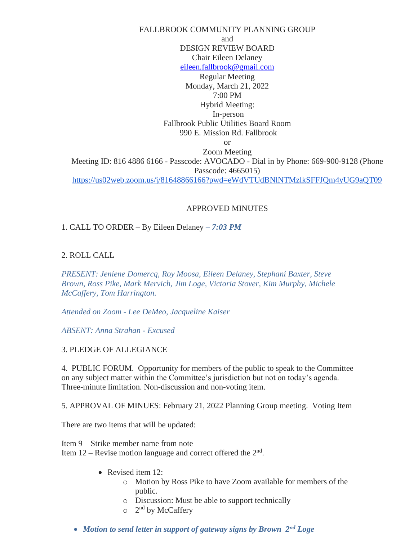FALLBROOK COMMUNITY PLANNING GROUP and DESIGN REVIEW BOARD Chair Eileen Delaney [eileen.fallbrook@gmail.com](mailto:eileen.fallbrook@gmail.com) Regular Meeting Monday, March 21, 2022 7:00 PM Hybrid Meeting: In-person Fallbrook Public Utilities Board Room 990 E. Mission Rd. Fallbrook or Zoom Meeting Meeting ID: 816 4886 6166 - Passcode: AVOCADO - Dial in by Phone: 669-900-9128 (Phone Passcode: 4665015) <https://us02web.zoom.us/j/81648866166?pwd=eWdVTUdBNlNTMzlkSFFJQm4yUG9aQT09>

# APPROVED MINUTES

1. CALL TO ORDER – By Eileen Delaney *– 7:03 PM*

### 2. ROLL CALL

*PRESENT: Jeniene Domercq, Roy Moosa, Eileen Delaney, Stephani Baxter, Steve Brown, Ross Pike, Mark Mervich, Jim Loge, Victoria Stover, Kim Murphy, Michele McCaffery, Tom Harrington.* 

*Attended on Zoom - Lee DeMeo, Jacqueline Kaiser*

*ABSENT: Anna Strahan - Excused*

#### 3. PLEDGE OF ALLEGIANCE

4. PUBLIC FORUM. Opportunity for members of the public to speak to the Committee on any subject matter within the Committee's jurisdiction but not on today's agenda. Three-minute limitation. Non-discussion and non-voting item.

5. APPROVAL OF MINUES: February 21, 2022 Planning Group meeting. Voting Item

There are two items that will be updated:

Item 9 – Strike member name from note Item  $12$  – Revise motion language and correct offered the  $2<sup>nd</sup>$ .

- Revised item 12:
	- o Motion by Ross Pike to have Zoom available for members of the public.
	- o Discussion: Must be able to support technically
	- o 2<sup>nd</sup> by McCaffery
- *Motion to send letter in support of gateway signs by Brown*  $2^{nd}$  *Loge*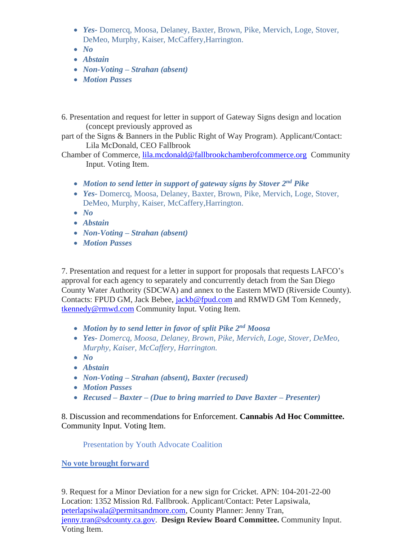- *Yes-* Domercq, Moosa, Delaney, Baxter, Brown, Pike, Mervich, Loge, Stover, DeMeo, Murphy, Kaiser, McCaffery,Harrington.
- *No*
- *Abstain*
- *Non-Voting – Strahan (absent)*
- *Motion Passes*
- 6. Presentation and request for letter in support of Gateway Signs design and location (concept previously approved as
- part of the Signs & Banners in the Public Right of Way Program). Applicant/Contact: Lila McDonald, CEO Fallbrook

Chamber of Commerce, [lila.mcdonald@fallbrookchamberofcommerce.org](mailto:lila.mcdonald@fallbrookchamberofcommerce.org) Community Input. Voting Item.

- *Motion to send letter in support of gateway signs by Stover 2<sup>nd</sup> Pike*
- *Yes-* Domercq, Moosa, Delaney, Baxter, Brown, Pike, Mervich, Loge, Stover, DeMeo, Murphy, Kaiser, McCaffery,Harrington.
- *No*
- *Abstain*
- *Non-Voting – Strahan (absent)*
- *Motion Passes*

7. Presentation and request for a letter in support for proposals that requests LAFCO's approval for each agency to separately and concurrently detach from the San Diego County Water Authority (SDCWA) and annex to the Eastern MWD (Riverside County). Contacts: FPUD GM, Jack Bebee, [jackb@fpud.com](mailto:jackb@fpud.com) and RMWD GM Tom Kennedy, [tkennedy@rmwd.com](mailto:tkennedy@rmwd.com) Community Input. Voting Item.

- *Motion by to send letter in favor of split Pike 2<sup>nd</sup> Moosa*
- *Yes- Domercq, Moosa, Delaney, Brown, Pike, Mervich, Loge, Stover, DeMeo, Murphy, Kaiser, McCaffery, Harrington.*
- *No*
- *Abstain*
- *Non-Voting – Strahan (absent), Baxter (recused)*
- *Motion Passes*
- *Recused – Baxter – (Due to bring married to Dave Baxter – Presenter)*

8. Discussion and recommendations for Enforcement. **Cannabis Ad Hoc Committee.**  Community Input. Voting Item.

Presentation by Youth Advocate Coalition

**No vote brought forward**

9. Request for a Minor Deviation for a new sign for Cricket. APN: 104-201-22-00 Location: 1352 Mission Rd. Fallbrook. Applicant/Contact: Peter Lapsiwala, [peterlapsiwala@permitsandmore.com,](mailto:peterlapsiwala@permitsandmore.com) County Planner: Jenny Tran, [jenny.tran@sdcounty.ca.gov.](mailto:jenny.tran@sdcounty.ca.gov) **Design Review Board Committee.** Community Input. Voting Item.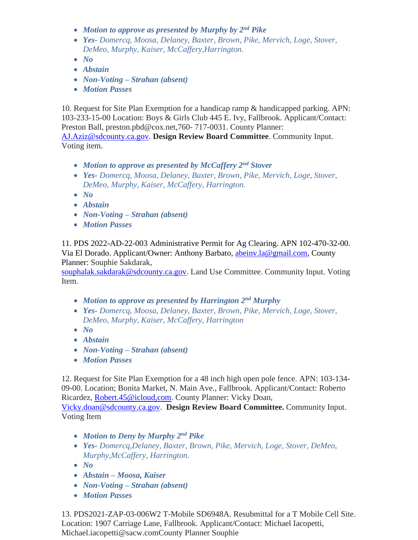- *Motion to approve as presented by Murphy by 2<sup>nd</sup> Pike*
- *Yes- Domercq, Moosa, Delaney, Baxter, Brown, Pike, Mervich, Loge, Stover, DeMeo, Murphy, Kaiser, McCaffery,Harrington.*
- *No*
- *Abstain*
- *Non-Voting – Strahan (absent)*
- *Motion Passes*

10. Request for Site Plan Exemption for a handicap ramp & handicapped parking. APN: 103-233-15-00 Location: Boys & Girls Club 445 E. Ivy, Fallbrook. Applicant/Contact: Preston Ball, preston.pbd@cox.net,760- 717-0031. County Planner:

[AJ.Aziz@sdcounty.ca.gov.](mailto:AJ.Aziz@sdcounty.ca.gov) **Design Review Board Committee**. Community Input. Voting item.

- *Motion to approve as presented by McCaffery 2 nd Stover*
- *Yes- Domercq, Moosa, Delaney, Baxter, Brown, Pike, Mervich, Loge, Stover, DeMeo, Murphy, Kaiser, McCaffery, Harrington.*
- *No*
- *Abstain*
- *Non-Voting – Strahan (absent)*
- *Motion Passes*

11. PDS 2022-AD-22-003 Administrative Permit for Ag Clearing. APN 102-470-32-00. Via El Dorado. Applicant/Owner: Anthony Barbato, [abeinv.la@gmail.com,](mailto:abeinv.la@gmail.com) County Planner: Souphie Sakdarak,

[souphalak.sakdarak@sdcounty.ca.gov.](mailto:souphalak.sakdarak@sdcounty.ca.gov) Land Use Committee. Community Input. Voting Item.

- *Motion to approve as presented by Harrington 2 nd Murphy*
- *Yes- Domercq, Moosa, Delaney, Baxter, Brown, Pike, Mervich, Loge, Stover, DeMeo, Murphy, Kaiser, McCaffery, Harrington*
- *No*
- *Abstain*
- *Non-Voting – Strahan (absent)*
- *Motion Passes*

12. Request for Site Plan Exemption for a 48 inch high open pole fence. APN: 103-134- 09-00. Location; Bonita Market, N. Main Ave., Fallbrook. Applicant/Contact: Roberto Ricardez, [Robert.45@icloud,com.](mailto:Robert.45@icloud,com) County Planner: Vicky Doan,

[Vicky.doan@sdcounty.ca.gov.](mailto:Vicky.doan@sdcounty.ca.gov) **Design Review Board Committee.** Community Input. Voting Item

- *Motion to Deny by Murphy 2 nd Pike*
- *Yes- Domercq,Delaney, Baxter, Brown, Pike, Mervich, Loge, Stover, DeMeo, Murphy,McCaffery, Harrington.*
- *No*
- *Abstain – Moosa, Kaiser*
- *Non-Voting – Strahan (absent)*
- *Motion Passes*

13. PDS2021-ZAP-03-006W2 T-Mobile SD6948A. Resubmittal for a T Mobile Cell Site. Location: 1907 Carriage Lane, Fallbrook. Applicant/Contact: Michael Iacopetti, Michael.iacopetti@sacw.comCounty Planner Souphie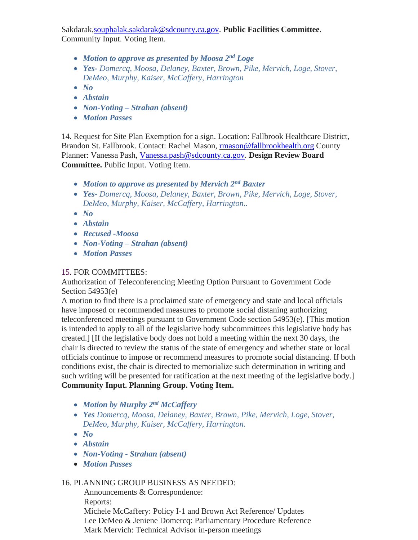Sakdarak[,souphalak.sakdarak@sdcounty.ca.gov.](mailto:souphalak.sakdarak@sdcounty.ca.gov) **Public Facilities Committee**. Community Input. Voting Item.

- *Motion to approve as presented by Moosa 2<sup>nd</sup> Loge*
- *Yes- Domercq, Moosa, Delaney, Baxter, Brown, Pike, Mervich, Loge, Stover, DeMeo, Murphy, Kaiser, McCaffery, Harrington*
- *No*
- *Abstain*
- *Non-Voting – Strahan (absent)*
- *Motion Passes*

14. Request for Site Plan Exemption for a sign. Location: Fallbrook Healthcare District, Brandon St. Fallbrook. Contact: Rachel Mason, [rmason@fallbrookhealth.org](mailto:rmason@fallbrookhealth.org) County Planner: Vanessa Pash, [Vanessa.pash@sdcounty.ca.gov.](mailto:Vanessa.pash@sdcounty.ca.gov) **Design Review Board Committee.** Public Input. Voting Item.

- *Motion to approve as presented by Mervich 2 nd Baxter*
- *Yes- Domercq, Moosa, Delaney, Baxter, Brown, Pike, Mervich, Loge, Stover, DeMeo, Murphy, Kaiser, McCaffery, Harrington..*
- *No*
- *Abstain*
- *Recused -Moosa*
- *Non-Voting – Strahan (absent)*
- *Motion Passes*

# 15. FOR COMMITTEES:

Authorization of Teleconferencing Meeting Option Pursuant to Government Code Section 54953(e)

A motion to find there is a proclaimed state of emergency and state and local officials have imposed or recommended measures to promote social distaning authorizing teleconferenced meetings pursuant to Government Code section 54953(e). [This motion is intended to apply to all of the legislative body subcommittees this legislative body has created.] [If the legislative body does not hold a meeting within the next 30 days, the chair is directed to review the status of the state of emergency and whether state or local officials continue to impose or recommend measures to promote social distancing. If both conditions exist, the chair is directed to memorialize such determination in writing and such writing will be presented for ratification at the next meeting of the legislative body.] **Community Input. Planning Group. Voting Item.**

- *Motion by Murphy 2 nd McCaffery*
- *Yes Domercq, Moosa, Delaney, Baxter, Brown, Pike, Mervich, Loge, Stover, DeMeo, Murphy, Kaiser, McCaffery, Harrington.*
- *No*
- *Abstain*
- *Non-Voting - Strahan (absent)*
- *Motion Passes*

# 16. PLANNING GROUP BUSINESS AS NEEDED:

 Announcements & Correspondence: Reports: Michele McCaffery: Policy I-1 and Brown Act Reference/ Updates Lee DeMeo & Jeniene Domercq: Parliamentary Procedure Reference Mark Mervich: Technical Advisor in-person meetings